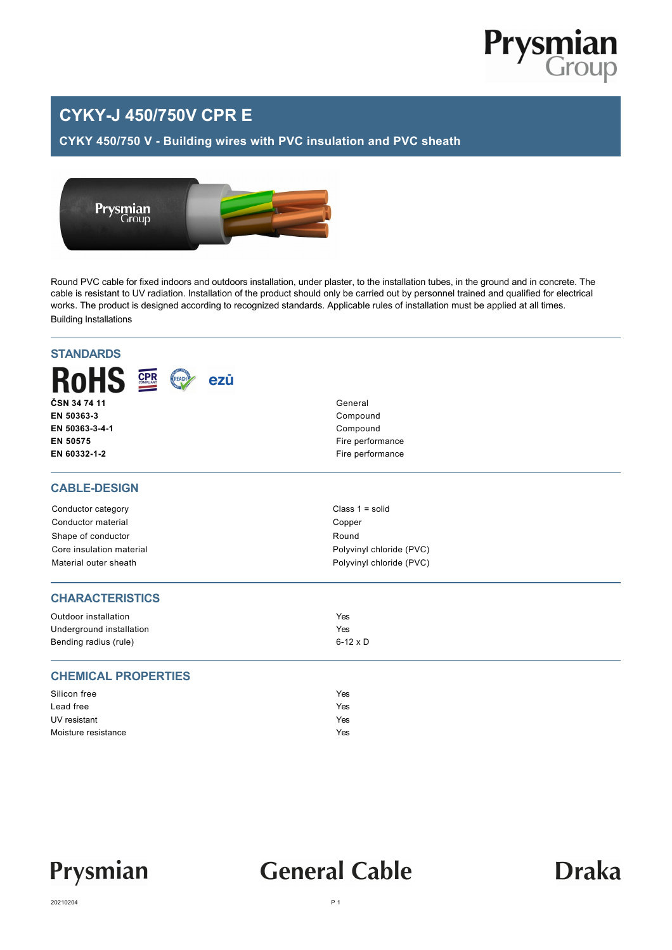

### **CYKY-J 450/750V CPR E**

**CYKY 450/750 V - Building wires with PVC insulation and PVC sheath**



Round PVC cable for fixed indoors and outdoors installation, under plaster, to the installation tubes, in the ground and in concrete. The cable is resistant to UV radiation. Installation of the product should only be carried out by personnel trained and qualified for electrical works. The product is designed according to recognized standards. Applicable rules of installation must be applied at all times. Building Installations

| <b>STANDARDS</b>                              |                          |  |  |  |  |  |  |
|-----------------------------------------------|--------------------------|--|--|--|--|--|--|
| <b>RoHS 2</b><br>ezū<br>REACH<br>ČSN 34 74 11 | General                  |  |  |  |  |  |  |
| EN 50363-3                                    | Compound<br>Compound     |  |  |  |  |  |  |
| EN 50363-3-4-1                                |                          |  |  |  |  |  |  |
| EN 50575                                      | Fire performance         |  |  |  |  |  |  |
| EN 60332-1-2                                  | Fire performance         |  |  |  |  |  |  |
| <b>CABLE-DESIGN</b>                           |                          |  |  |  |  |  |  |
| Conductor category                            | Class $1 = solid$        |  |  |  |  |  |  |
| Conductor material                            | Copper                   |  |  |  |  |  |  |
| Shape of conductor                            | Round                    |  |  |  |  |  |  |
| Core insulation material                      | Polyvinyl chloride (PVC) |  |  |  |  |  |  |
| Material outer sheath                         | Polyvinyl chloride (PVC) |  |  |  |  |  |  |
| <b>CHARACTERISTICS</b>                        |                          |  |  |  |  |  |  |
| Outdoor installation                          | Yes                      |  |  |  |  |  |  |
| Underground installation                      | Yes                      |  |  |  |  |  |  |
| Bending radius (rule)                         | $6-12 \times D$          |  |  |  |  |  |  |
| <b>CHEMICAL PROPERTIES</b>                    |                          |  |  |  |  |  |  |
| Silicon free                                  | Yes                      |  |  |  |  |  |  |
| Lead free                                     | Yes                      |  |  |  |  |  |  |
| UV resistant                                  | Yes                      |  |  |  |  |  |  |
| Moisture resistance                           | Yes                      |  |  |  |  |  |  |
|                                               |                          |  |  |  |  |  |  |

# **General Cable**